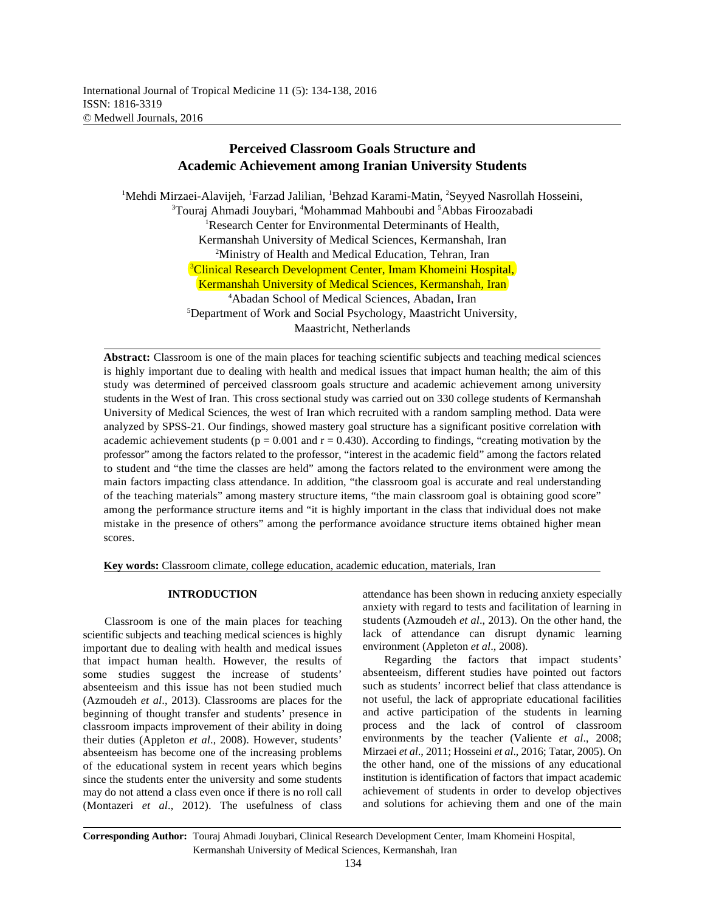# **Perceived Classroom Goals Structure and Academic Achievement among Iranian University Students**

<sup>1</sup>Mehdi Mirzaei-Alavijeh, <sup>1</sup>Farzad Jalilian, <sup>1</sup>Behzad Karami-Matin, <sup>2</sup>Seyyed Nasrollah Hosseini, <sup>3</sup>Touraj Ahmadi Jouybari, <sup>4</sup>Mohammad Mahboubi and <sup>5</sup>Abbas Firoozabadi <sup>1</sup>Research Center for Environmental Determinants of Health, Kermanshah University of Medical Sciences, Kermanshah, Iran <sup>2</sup>Ministry of Health and Medical Education, Tehran, Iran <sup>3</sup>Clinical Research Development Center, Imam Khomeini Hospital, Kermanshah University of Medical Sciences, Kermanshah, Iran Abadan School of Medical Sciences, Abadan, Iran <sup>4</sup> <sup>5</sup>Department of Work and Social Psychology, Maastricht University, Maastricht, Netherlands

**Abstract:** Classroom is one of the main places for teaching scientific subjects and teaching medical sciences is highly important due to dealing with health and medical issues that impact human health; the aim of this study was determined of perceived classroom goals structure and academic achievement among university students in the West of Iran. This cross sectional study was carried out on 330 college students of Kermanshah University of Medical Sciences, the west of Iran which recruited with a random sampling method. Data were analyzed by SPSS-21. Our findings, showed mastery goal structure has a significant positive correlation with academic achievement students ( $p = 0.001$  and  $r = 0.430$ ). According to findings, "creating motivation by the professor" among the factors related to the professor, "interest in the academic field" among the factors related to student and "the time the classes are held" among the factors related to the environment were among the main factors impacting class attendance. In addition, "the classroom goal is accurate and real understanding of the teaching materials" among mastery structure items, "the main classroom goal is obtaining good score" among the performance structure items and "it is highly important in the class that individual does not make mistake in the presence of others" among the performance avoidance structure items obtained higher mean scores.

**Key words:** Classroom climate, college education, academic education, materials, Iran

Classroom is one of the main places for teaching scientific subjects and teaching medical sciences is highly important due to dealing with health and medical issues that impact human health. However, the results of some studies suggest the increase of students' absenteeism and this issue has not been studied much (Azmoudeh *et al*., 2013). Classrooms are places for the beginning of thought transfer and students' presence in classroom impacts improvement of their ability in doing their duties (Appleton *et al*., 2008). However, students' absenteeism has become one of the increasing problems of the educational system in recent years which begins since the students enter the university and some students may do not attend a class even once if there is no roll call (Montazeri *et al*., 2012). The usefulness of class

**INTRODUCTION** attendance has been shown in reducing anxiety especially anxiety with regard to tests and facilitation of learning in students (Azmoudeh *et al*., 2013). On the other hand, the lack of attendance can disrupt dynamic learning environment (Appleton *et al*., 2008).

> Regarding the factors that impact students' absenteeism, different studies have pointed out factors such as students' incorrect belief that class attendance is not useful, the lack of appropriate educational facilities and active participation of the students in learning process and the lack of control of classroom environments by the teacher (Valiente *et al*., 2008; Mirzaei *et al*., 2011; Hosseini *et al*., 2016; Tatar, 2005). On the other hand, one of the missions of any educational institution is identification of factors that impact academic achievement of students in order to develop objectives and solutions for achieving them and one of the main

**Corresponding Author:** Touraj Ahmadi Jouybari, Clinical Research Development Center, Imam Khomeini Hospital, Kermanshah University of Medical Sciences, Kermanshah, Iran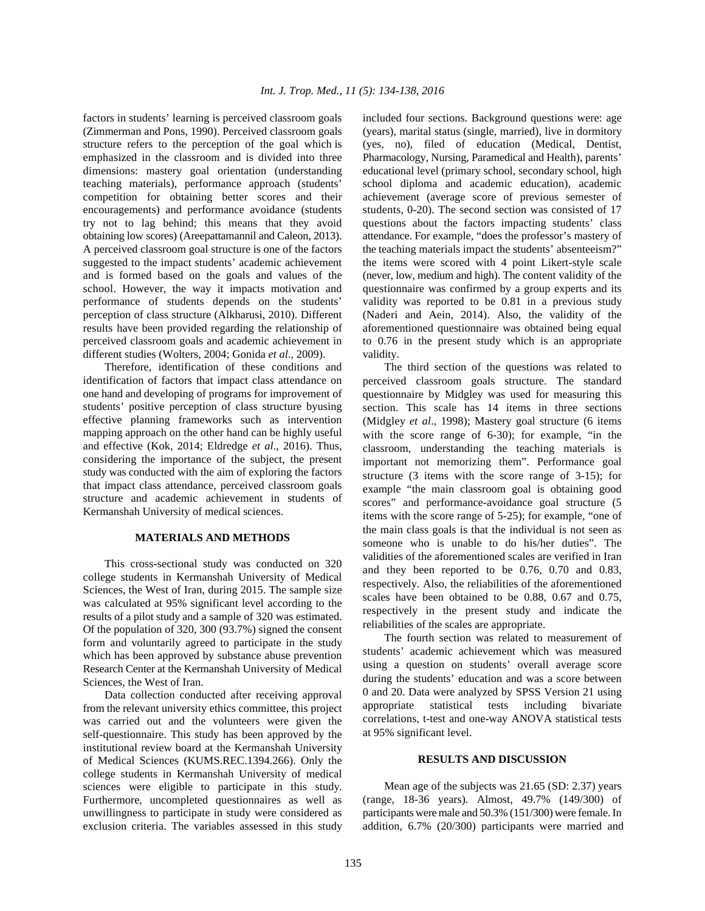(Zimmerman and Pons, 1990). Perceived classroom goals (years), marital status (single, married), live in dormitory structure refers to the perception of the goal which is (yes, no), filed of education (Medical, Dentist, emphasized in the classroom and is divided into three Pharmacology, Nursing, Paramedical and Health), parents' dimensions: mastery goal orientation (understanding educational level (primary school, secondary school, high teaching materials), performance approach (students' school diploma and academic education), academic competition for obtaining better scores and their achievement (average score of previous semester of encouragements) and performance avoidance (students students, 0-20). The second section was consisted of 17 try not to lag behind; this means that they avoid questions about the factors impacting students' class obtaining low scores) (Areepattamannil and Caleon, 2013). attendance. For example, "does the professor's mastery of A perceived classroom goal structure is one of the factors the teaching materials impact the students' absenteeism?" suggested to the impact students' academic achievement the items were scored with 4 point Likert-style scale and is formed based on the goals and values of the (never, low, medium and high). The content validity of the school. However, the way it impacts motivation and questionnaire was confirmed by a group experts and its performance of students depends on the students' validity was reported to be 0.81 in a previous study perception of class structure (Alkharusi, 2010). Different (Naderi and Aein, 2014). Also, the validity of the results have been provided regarding the relationship of aforementioned questionnaire was obtained being equal perceived classroom goals and academic achievement in to 0.76 in the present study which is an appropriate different studies (Wolters, 2004; Gonida *et al*., 2009). validity.

Therefore, identification of these conditions and The third section of the questions was related to identification of factors that impact class attendance on one hand and developing of programs for improvement of students' positive perception of class structure byusing effective planning frameworks such as intervention mapping approach on the other hand can be highly useful and effective (Kok, 2014; Eldredge *et al*., 2016). Thus, considering the importance of the subject, the present study was conducted with the aim of exploring the factors that impact class attendance, perceived classroom goals structure and academic achievement in students of Kermanshah University of medical sciences.

### **MATERIALS AND METHODS**

This cross-sectional study was conducted on 320 college students in Kermanshah University of Medical Sciences, the West of Iran, during 2015. The sample size was calculated at 95% significant level according to the results of a pilot study and a sample of 320 was estimated. Of the population of 320, 300 (93.7%) signed the consent form and voluntarily agreed to participate in the study which has been approved by substance abuse prevention Research Center at the Kermanshah University of Medical Sciences, the West of Iran.

Data collection conducted after receiving approval from the relevant university ethics committee, this project was carried out and the volunteers were given the self-questionnaire. This study has been approved by the institutional review board at the Kermanshah University of Medical Sciences (KUMS.REC.1394.266). Only the college students in Kermanshah University of medical sciences were eligible to participate in this study. Furthermore, uncompleted questionnaires as well as unwillingness to participate in study were considered as exclusion criteria. The variables assessed in this study

factors in students' learning is perceived classroom goals included four sections. Background questions were: age

perceived classroom goals structure. The standard questionnaire by Midgley was used for measuring this section. This scale has 14 items in three sections (Midgley *et al*., 1998); Mastery goal structure (6 items with the score range of 6-30); for example, "in the classroom, understanding the teaching materials is important not memorizing them". Performance goal structure (3 items with the score range of 3-15); for example "the main classroom goal is obtaining good scores" and performance-avoidance goal structure (5 items with the score range of 5-25); for example, "one of the main class goals is that the individual is not seen as someone who is unable to do his/her duties". The validities of the aforementioned scales are verified in Iran and they been reported to be 0.76, 0.70 and 0.83, respectively. Also, the reliabilities of the aforementioned scales have been obtained to be 0.88, 0.67 and 0.75, respectively in the present study and indicate the reliabilities of the scales are appropriate.

The fourth section was related to measurement of students' academic achievement which was measured using a question on students' overall average score during the students' education and was a score between 0 and 20. Data were analyzed by SPSS Version 21 using appropriate statistical tests including bivariate correlations, t-test and one-way ANOVA statistical tests at 95% significant level.

#### **RESULTS AND DISCUSSION**

Mean age of the subjects was 21.65 (SD: 2.37) years (range, 18-36 years). Almost, 49.7% (149/300) of participants weremale and 50.3% (151/300) were female. In addition, 6.7% (20/300) participants were married and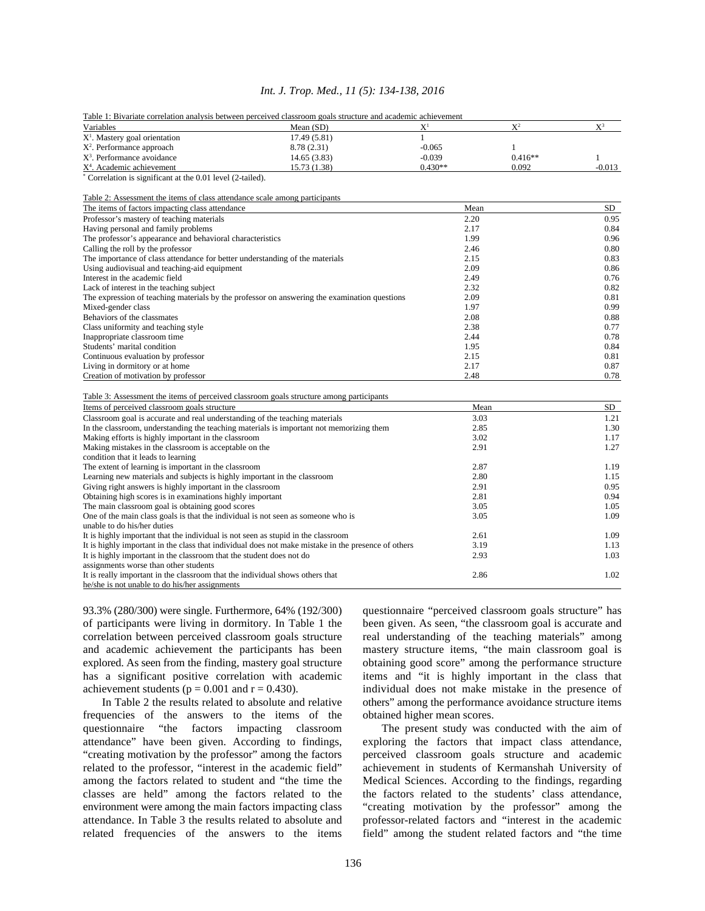# *Int. J. Trop. Med., 11 (5): 134-138, 2016*

| Table 1: Bivariate correlation analysis between perceived classroom goals structure and academic achievement |              |              |              |            |
|--------------------------------------------------------------------------------------------------------------|--------------|--------------|--------------|------------|
| Variables                                                                                                    | Mean (SD)    | $X^1$        | $X^2$        | $X^3$      |
| $X1$ . Mastery goal orientation                                                                              | 17.49(5.81)  | $\mathbf{1}$ |              |            |
| $X2$ . Performance approach                                                                                  | 8.78 (2.31)  | $-0.065$     | $\mathbf{1}$ |            |
| X <sup>3</sup> . Performance avoidance                                                                       | 14.65(3.83)  | $-0.039$     | $0.416**$    | 1          |
| X <sup>4</sup> . Academic achievement                                                                        | 15.73 (1.38) | $0.430**$    | 0.092        | $-0.013$   |
| Correlation is significant at the 0.01 level (2-tailed).                                                     |              |              |              |            |
|                                                                                                              |              |              |              |            |
| Table 2: Assessment the items of class attendance scale among participants                                   |              |              |              |            |
| The items of factors impacting class attendance                                                              |              | Mean         |              | SD         |
| Professor's mastery of teaching materials                                                                    |              | 2.20         |              | 0.95       |
| Having personal and family problems                                                                          |              | 2.17         |              |            |
| The professor's appearance and behavioral characteristics                                                    |              | 1.99         |              | 0.96       |
| Calling the roll by the professor                                                                            |              | 2.46         |              | 0.80       |
| The importance of class attendance for better understanding of the materials                                 |              | 2.15         |              |            |
| Using audiovisual and teaching-aid equipment                                                                 |              | 2.09         |              |            |
| Interest in the academic field                                                                               |              | 2.49         |              |            |
| Lack of interest in the teaching subject                                                                     |              | 2.32         |              |            |
| The expression of teaching materials by the professor on answering the examination questions                 |              | 2.09         |              |            |
| Mixed-gender class                                                                                           |              | 1.97         |              |            |
| Behaviors of the classmates                                                                                  |              | 2.08         |              |            |
| Class uniformity and teaching style                                                                          |              | 2.38         |              |            |
| Inappropriate classroom time                                                                                 |              |              | 2.44         |            |
| Students' marital condition                                                                                  |              |              | 1.95         |            |
| Continuous evaluation by professor                                                                           |              |              | 2.15         |            |
| Living in dormitory or at home                                                                               |              |              | 2.17         |            |
| Creation of motivation by professor                                                                          |              |              | 2.48         |            |
|                                                                                                              |              |              |              | 0.78       |
| Table 3: Assessment the items of perceived classroom goals structure among participants                      |              |              |              |            |
| Items of perceived classroom goals structure                                                                 |              | Mean         |              | SD<br>1.21 |
| Classroom goal is accurate and real understanding of the teaching materials                                  |              |              | 3.03         |            |
| In the classroom, understanding the teaching materials is important not memorizing them                      |              |              | 2.85         |            |
| Making efforts is highly important in the classroom                                                          |              |              | 3.02         |            |
| Making mistakes in the classroom is acceptable on the                                                        |              |              | 2.91         |            |
| condition that it leads to learning                                                                          |              |              |              |            |
| The extent of learning is important in the classroom                                                         |              | 2.87         |              | 1.19       |
| Learning new materials and subjects is highly important in the classroom                                     |              |              | 2.80         |            |
| Giving right answers is highly important in the classroom                                                    |              |              | 2.91         |            |
| Obtaining high scores is in examinations highly important                                                    |              |              | 2.81         |            |
| The main classroom goal is obtaining good scores                                                             |              |              | 3.05         |            |
| One of the main class goals is that the individual is not seen as someone who is                             |              | 3.05         |              | 1.09       |
| unable to do his/her duties                                                                                  |              |              |              |            |
| It is highly important that the individual is not seen as stupid in the classroom                            |              | 2.61         |              | 1.09       |
| It is highly important in the class that individual does not make mistake in the presence of others          |              |              | 3.19         |            |
| It is highly important in the classroom that the student does not do                                         |              | 2.93         |              | 1.03       |
| assignments worse than other students                                                                        |              |              |              |            |
| It is really important in the classroom that the individual shows others that                                |              |              | 2.86         | 1.02       |
| he/she is not unable to do his/her assignments                                                               |              |              |              |            |

of participants were living in dormitory. In Table 1 the been given. As seen, "the classroom goal is accurate and correlation between perceived classroom goals structure real understanding of the teaching materials" among and academic achievement the participants has been mastery structure items, "the main classroom goal is explored. As seen from the finding, mastery goal structure obtaining good score" among the performance structure has a significant positive correlation with academic items and "it is highly important in the class that achievement students ( $p = 0.001$  and  $r = 0.430$ ). individual does not make mistake in the presence of

frequencies of the answers to the items of the obtained higher mean scores. questionnaire "the factors impacting classroom The present study was conducted with the aim of attendance" have been given. According to findings, exploring the factors that impact class attendance, "creating motivation by the professor" among the factors perceived classroom goals structure and academic "creating motivation by the professor" among the factors perceived classroom goals structure and academic among the factors related to student and "the time the Medical Sciences. According to the findings, regarding classes are held" among the factors related to the the factors related to the students' class attendance, environment were among the main factors impacting class "creating motivation by the professor" among the attendance. In Table 3 the results related to absolute and professor-related factors and "interest in the academic related frequencies of the answers to the items field" among the student related factors and "the time

93.3% (280/300) were single. Furthermore, 64% (192/300) questionnaire "perceived classroom goals structure" has In Table 2 the results related to absolute and relative others" among the performance avoidance structure items

achievement in students of Kermanshah University of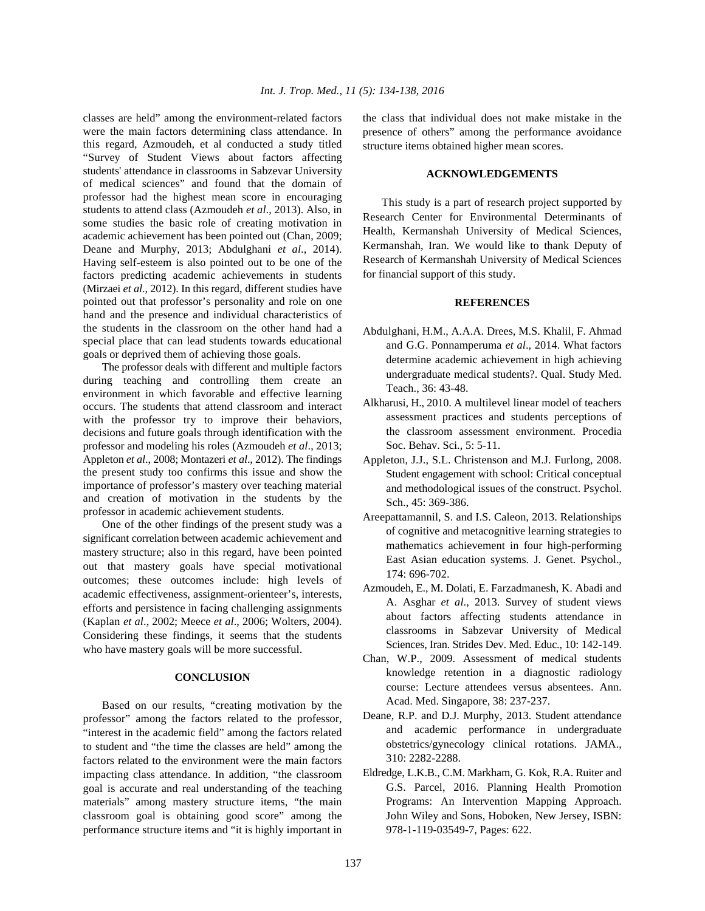were the main factors determining class attendance. In this regard, Azmoudeh, et al conducted a study titled "Survey of Student Views about factors affecting students' attendance in classrooms in Sabzevar University of medical sciences" and found that the domain of professor had the highest mean score in encouraging students to attend class (Azmoudeh *et al*., 2013). Also, in some studies the basic role of creating motivation in academic achievement has been pointed out (Chan, 2009; Deane and Murphy, 2013; Abdulghani *et al*., 2014). Having self-esteem is also pointed out to be one of the factors predicting academic achievements in students (Mirzaei *et al*., 2012). In this regard, different studies have pointed out that professor's personality and role on one hand and the presence and individual characteristics of the students in the classroom on the other hand had a special place that can lead students towards educational goals or deprived them of achieving those goals.

The professor deals with different and multiple factors during teaching and controlling them create an environment in which favorable and effective learning occurs. The students that attend classroom and interact with the professor try to improve their behaviors, decisions and future goals through identification with the professor and modeling his roles (Azmoudeh *et al*., 2013; Appleton *et al*., 2008; Montazeri *et al*., 2012). The findings the present study too confirms this issue and show the importance of professor's mastery over teaching material and creation of motivation in the students by the professor in academic achievement students.

One of the other findings of the present study was a significant correlation between academic achievement and mastery structure; also in this regard, have been pointed out that mastery goals have special motivational outcomes; these outcomes include: high levels of academic effectiveness, assignment-orienteer's, interests, efforts and persistence in facing challenging assignments (Kaplan *et al*., 2002; Meece *et al*., 2006; Wolters, 2004). Considering these findings, it seems that the students who have mastery goals will be more successful.

# **CONCLUSION**

Based on our results, "creating motivation by the professor" among the factors related to the professor, "interest in the academic field" among the factors related to student and "the time the classes are held" among the factors related to the environment were the main factors impacting class attendance. In addition, "the classroom goal is accurate and real understanding of the teaching materials" among mastery structure items, "the main classroom goal is obtaining good score" among the performance structure items and "it is highly important in 978-1-119-03549-7, Pages: 622.

classes are held" among the environment-related factors the class that individual does not make mistake in the presence of others" among the performance avoidance structure items obtained higher mean scores.

#### **ACKNOWLEDGEMENTS**

This study is a part of research project supported by Research Center for Environmental Determinants of Health, Kermanshah University of Medical Sciences, Kermanshah, Iran. We would like to thank Deputy of Research of Kermanshah University of Medical Sciences for financial support of this study.

# **REFERENCES**

- Abdulghani, H.M., A.A.A. Drees, M.S. Khalil, F. Ahmad and G.G. Ponnamperuma *et al*., 2014. What factors determine academic achievement in high achieving undergraduate medical students?. Qual. Study Med. Teach., 36: 43-48.
- Alkharusi, H., 2010. A multilevel linear model of teachers assessment practices and students perceptions of the classroom assessment environment. Procedia Soc. Behav. Sci., 5: 5-11.
- Appleton, J.J., S.L. Christenson and M.J. Furlong, 2008. Student engagement with school: Critical conceptual and methodological issues of the construct. Psychol. Sch., 45: 369-386.
- Areepattamannil, S. and I.S. Caleon, 2013. Relationships of cognitive and metacognitive learning strategies to mathematics achievement in four high-performing East Asian education systems. J. Genet. Psychol., 174: 696-702.
- Azmoudeh, E., M. Dolati, E. Farzadmanesh, K. Abadi and A. Asghar *et al*., 2013. Survey of student views about factors affecting students attendance in classrooms in Sabzevar University of Medical Sciences, Iran. Strides Dev. Med. Educ., 10: 142-149.
- Chan, W.P., 2009. Assessment of medical students knowledge retention in a diagnostic radiology course: Lecture attendees versus absentees. Ann. Acad. Med. Singapore, 38: 237-237.
- Deane, R.P. and D.J. Murphy, 2013. Student attendance and academic performance in undergraduate obstetrics/gynecology clinical rotations. JAMA., 310: 2282-2288.
- Eldredge, L.K.B., C.M. Markham, G. Kok, R.A. Ruiter and G.S. Parcel, 2016. Planning Health Promotion Programs: An Intervention Mapping Approach. John Wiley and Sons, Hoboken, New Jersey, ISBN: